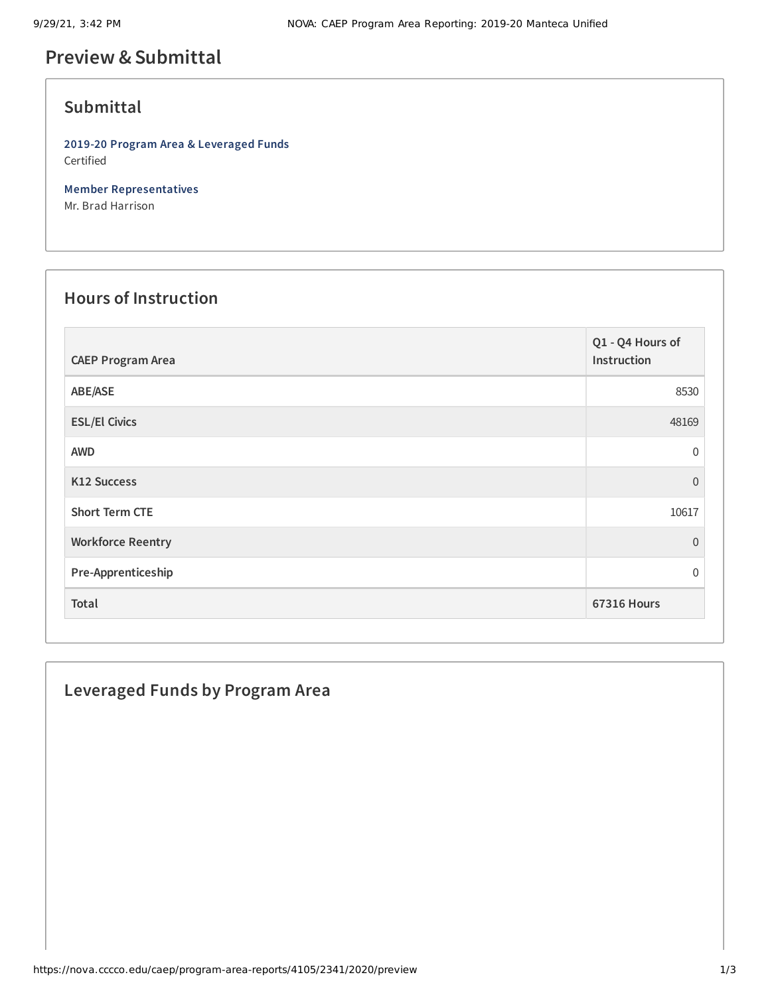# **Preview &Submittal**

### **Submittal**

**2019-20 Program Area & Leveraged Funds** Certified

**Member Representatives** Mr. Brad Harrison

#### **Hours of Instruction**

| <b>CAEP Program Area</b> | Q1 - Q4 Hours of<br>Instruction |
|--------------------------|---------------------------------|
| ABE/ASE                  | 8530                            |
| <b>ESL/El Civics</b>     | 48169                           |
| <b>AWD</b>               | $\mathbf 0$                     |
| K12 Success              | $\overline{0}$                  |
| <b>Short Term CTE</b>    | 10617                           |
| <b>Workforce Reentry</b> | $\mathbf{0}$                    |
| Pre-Apprenticeship       | $\mathbf 0$                     |
| Total                    | <b>67316 Hours</b>              |

#### **Leveraged Funds by Program Area**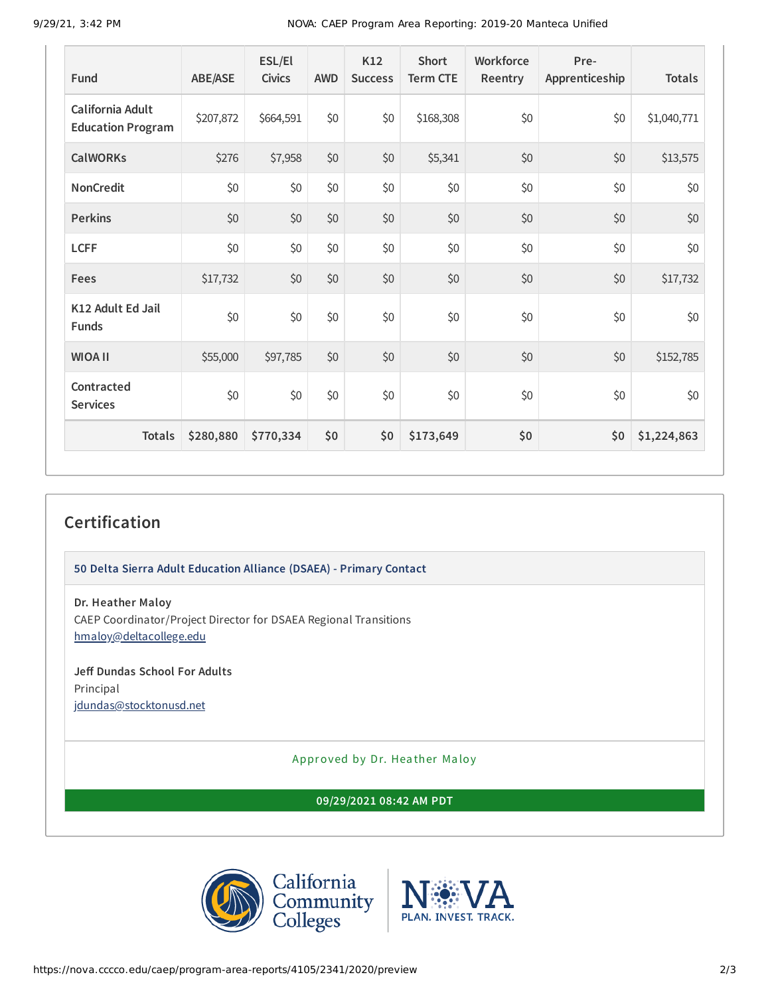9/29/21, 3:42 PM NOVA: CAEP Program Area Reporting: 2019-20 Manteca Unified

| <b>Fund</b>                                  | <b>ABE/ASE</b> | ESL/El<br><b>Civics</b> | <b>AWD</b> | K12<br><b>Success</b> | <b>Short</b><br><b>Term CTE</b> | Workforce<br>Reentry | Pre-<br>Apprenticeship | <b>Totals</b> |
|----------------------------------------------|----------------|-------------------------|------------|-----------------------|---------------------------------|----------------------|------------------------|---------------|
| California Adult<br><b>Education Program</b> | \$207,872      | \$664,591               | \$0        | \$0                   | \$168,308                       | \$0                  | \$0                    | \$1,040,771   |
| <b>CalWORKs</b>                              | \$276          | \$7,958                 | \$0        | \$0                   | \$5,341                         | \$0                  | \$0                    | \$13,575      |
| <b>NonCredit</b>                             | \$0            | \$0                     | \$0        | \$0                   | \$0                             | \$0                  | \$0                    | \$0           |
| <b>Perkins</b>                               | \$0            | \$0                     | \$0        | \$0                   | \$0                             | \$0                  | \$0                    | \$0           |
| <b>LCFF</b>                                  | \$0            | \$0                     | \$0        | \$0                   | \$0                             | \$0                  | \$0                    | \$0           |
| Fees                                         | \$17,732       | \$0                     | \$0        | \$0                   | \$0                             | \$0                  | \$0                    | \$17,732      |
| K12 Adult Ed Jail<br><b>Funds</b>            | \$0            | \$0                     | \$0        | \$0                   | \$0                             | \$0                  | \$0                    | \$0           |
| <b>WIOA II</b>                               | \$55,000       | \$97,785                | \$0        | \$0                   | \$0                             | \$0                  | \$0                    | \$152,785     |
| Contracted<br><b>Services</b>                | \$0            | \$0                     | \$0        | \$0                   | \$0                             | \$0                  | \$0                    | \$0           |
| <b>Totals</b>                                | \$280,880      | \$770,334               | \$0        | \$0                   | \$173,649                       | \$0                  | \$0                    | \$1,224,863   |

## **Certification**

**50 Delta Sierra Adult Education Alliance (DSAEA) - Primary Contact**

**Dr. Heather Maloy**

CAEP Coordinator/Project Director for DSAEA Regional Transitions [hmaloy@deltacollege.edu](mailto:hmaloy@deltacollege.edu)

#### **Jeff Dundas School For Adults** Principal

[jdundas@stocktonusd.net](mailto:jdundas@stocktonusd.net)

Approved by Dr. Heather Maloy

**09/29/2021 08:42 AM PDT**